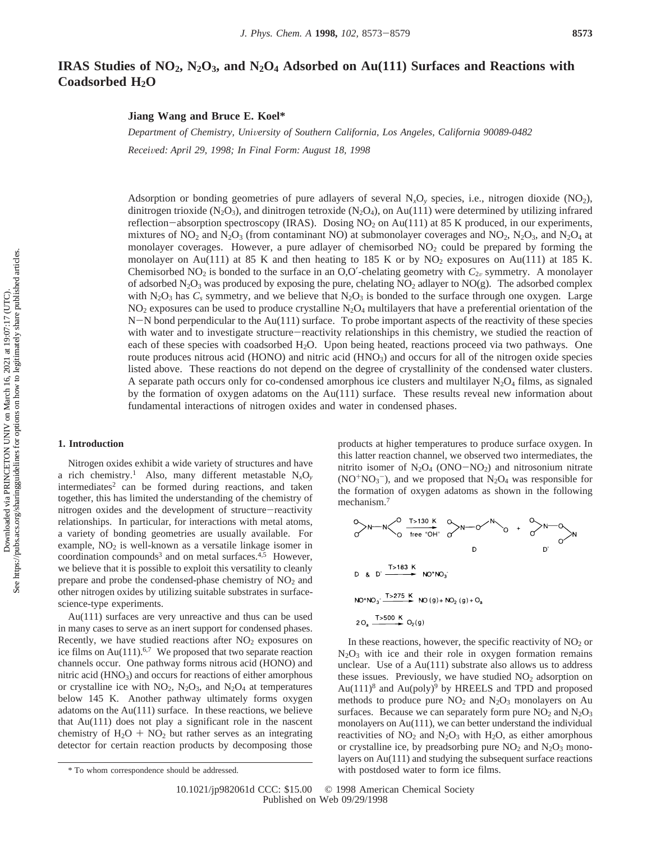# **IRAS Studies of NO2, N2O3, and N2O4 Adsorbed on Au(111) Surfaces and Reactions with Coadsorbed H2O**

**Jiang Wang and Bruce E. Koel\***

*Department of Chemistry, Uni*V*ersity of Southern California, Los Angeles, California 90089-0482 Recei*V*ed: April 29, 1998; In Final Form: August 18, 1998*

Adsorption or bonding geometries of pure adlayers of several  $N_xO_y$  species, i.e., nitrogen dioxide  $(NO_2)$ , dinitrogen trioxide (N<sub>2</sub>O<sub>3</sub>), and dinitrogen tetroxide (N<sub>2</sub>O<sub>4</sub>), on Au(111) were determined by utilizing infrared reflection-absorption spectroscopy (IRAS). Dosing  $NO<sub>2</sub>$  on Au(111) at 85 K produced, in our experiments, mixtures of NO<sub>2</sub> and N<sub>2</sub>O<sub>3</sub> (from contaminant NO) at submonolayer coverages and NO<sub>2</sub>, N<sub>2</sub>O<sub>3</sub>, and N<sub>2</sub>O<sub>4</sub> at monolayer coverages. However, a pure adlayer of chemisorbed  $NO<sub>2</sub>$  could be prepared by forming the monolayer on Au(111) at 85 K and then heating to 185 K or by  $NO<sub>2</sub>$  exposures on Au(111) at 185 K. Chemisorbed NO<sub>2</sub> is bonded to the surface in an O,O'-chelating geometry with  $C_{2\nu}$  symmetry. A monolayer of adsorbed  $N_2O_3$  was produced by exposing the pure, chelating  $NO_2$  adlayer to  $NO(g)$ . The adsorbed complex with  $N_2O_3$  has  $C_s$  symmetry, and we believe that  $N_2O_3$  is bonded to the surface through one oxygen. Large  $NO<sub>2</sub>$  exposures can be used to produce crystalline  $N<sub>2</sub>O<sub>4</sub>$  multilayers that have a preferential orientation of the N-N bond perpendicular to the Au(111) surface. To probe important aspects of the reactivity of these species with water and to investigate structure-reactivity relationships in this chemistry, we studied the reaction of each of these species with coadsorbed H<sub>2</sub>O. Upon being heated, reactions proceed via two pathways. One route produces nitrous acid (HONO) and nitric acid (HNO<sub>3</sub>) and occurs for all of the nitrogen oxide species listed above. These reactions do not depend on the degree of crystallinity of the condensed water clusters. A separate path occurs only for co-condensed amorphous ice clusters and multilayer  $N_2O_4$  films, as signaled by the formation of oxygen adatoms on the Au(111) surface. These results reveal new information about fundamental interactions of nitrogen oxides and water in condensed phases.

## **1. Introduction**

Nitrogen oxides exhibit a wide variety of structures and have a rich chemistry.<sup>1</sup> Also, many different metastable  $N_xO_y$  $intermediates<sup>2</sup>$  can be formed during reactions, and taken together, this has limited the understanding of the chemistry of nitrogen oxides and the development of structure-reactivity relationships. In particular, for interactions with metal atoms, a variety of bonding geometries are usually available. For example,  $NO<sub>2</sub>$  is well-known as a versatile linkage isomer in coordination compounds<sup>3</sup> and on metal surfaces.<sup>4,5</sup> However, we believe that it is possible to exploit this versatility to cleanly prepare and probe the condensed-phase chemistry of  $NO<sub>2</sub>$  and other nitrogen oxides by utilizing suitable substrates in surfacescience-type experiments.

Au(111) surfaces are very unreactive and thus can be used in many cases to serve as an inert support for condensed phases. Recently, we have studied reactions after  $NO<sub>2</sub>$  exposures on ice films on Au $(111)$ .<sup>6,7</sup> We proposed that two separate reaction channels occur. One pathway forms nitrous acid (HONO) and nitric acid  $(HNO<sub>3</sub>)$  and occurs for reactions of either amorphous or crystalline ice with  $NO_2$ ,  $N_2O_3$ , and  $N_2O_4$  at temperatures below 145 K. Another pathway ultimately forms oxygen adatoms on the  $Au(111)$  surface. In these reactions, we believe that Au(111) does not play a significant role in the nascent chemistry of  $H_2O + NO_2$  but rather serves as an integrating detector for certain reaction products by decomposing those products at higher temperatures to produce surface oxygen. In this latter reaction channel, we observed two intermediates, the nitrito isomer of  $N_2O_4$  (ONO-NO<sub>2</sub>) and nitrosonium nitrate  $(NO+NO<sub>3</sub><sup>-</sup>)$ , and we proposed that  $N<sub>2</sub>O<sub>4</sub>$  was responsible for the formation of oxygen adatoms as shown in the following mechanism.7

$$
N - N \left\{\n\begin{array}{ccc}\n0 & 1 & 130 \text{ K} \\
0 & \text{free } "OH" & 0\n\end{array}\n\right.\n\qquad\n\begin{array}{ccc}\n0 & 1 & 0 \\
0 & 0 & 0\n\end{array}\n\qquad\n\begin{array}{ccc}\n0 & 1 & 0 \\
0 & 0 & 0\n\end{array}
$$
\n
$$
D \left\{\n\begin{array}{ccc}\n0 & 1 & 0 \\
0 & 0 & 0\n\end{array}\n\right.\n\qquad\n\begin{array}{ccc}\n0 & 1 & 0 \\
0 & 0 & 0 \\
0 & 0 & 0\n\end{array}
$$
\n
$$
D \left\{\n\begin{array}{ccc}\n0 & 1 & 0 \\
0 & 0 & 0 \\
0 & 0 & 0\n\end{array}\n\right.\n\qquad\n\begin{array}{ccc}\n0 & 1 & 0 \\
0 & 0 & 0 \\
0 & 0 & 0\n\end{array}
$$

In these reactions, however, the specific reactivity of  $NO<sub>2</sub>$  or  $N_2O_3$  with ice and their role in oxygen formation remains unclear. Use of a Au(111) substrate also allows us to address these issues. Previously, we have studied  $NO<sub>2</sub>$  adsorption on  $Au(111)<sup>8</sup>$  and  $Au(poly)<sup>9</sup>$  by HREELS and TPD and proposed methods to produce pure  $NO<sub>2</sub>$  and  $N<sub>2</sub>O<sub>3</sub>$  monolayers on Au surfaces. Because we can separately form pure  $NO<sub>2</sub>$  and  $N<sub>2</sub>O<sub>3</sub>$ monolayers on Au(111), we can better understand the individual reactivities of  $NO_2$  and  $N_2O_3$  with  $H_2O$ , as either amorphous or crystalline ice, by preadsorbing pure  $NO<sub>2</sub>$  and  $N<sub>2</sub>O<sub>3</sub>$  monolayers on Au(111) and studying the subsequent surface reactions \* To whom correspondence should be addressed. with postdosed water to form ice films.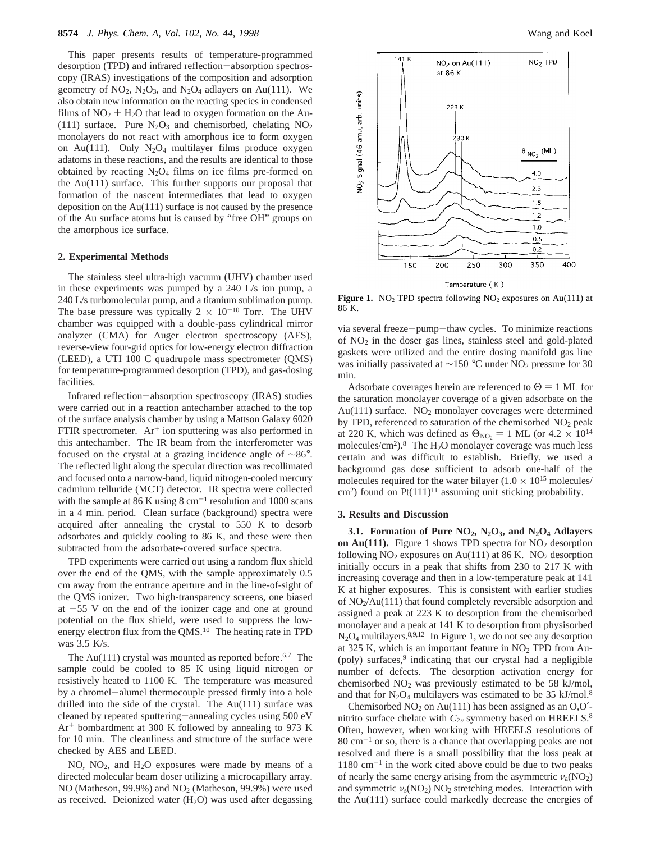This paper presents results of temperature-programmed desorption (TPD) and infrared reflection-absorption spectroscopy (IRAS) investigations of the composition and adsorption geometry of  $NO_2$ ,  $N_2O_3$ , and  $N_2O_4$  adlayers on Au(111). We also obtain new information on the reacting species in condensed films of  $NO<sub>2</sub> + H<sub>2</sub>O$  that lead to oxygen formation on the Au-(111) surface. Pure  $N_2O_3$  and chemisorbed, chelating  $NO_2$ monolayers do not react with amorphous ice to form oxygen on Au(111). Only  $N_2O_4$  multilayer films produce oxygen adatoms in these reactions, and the results are identical to those obtained by reacting  $N_2O_4$  films on ice films pre-formed on the Au(111) surface. This further supports our proposal that formation of the nascent intermediates that lead to oxygen deposition on the Au(111) surface is not caused by the presence of the Au surface atoms but is caused by "free OH" groups on the amorphous ice surface.

### **2. Experimental Methods**

The stainless steel ultra-high vacuum (UHV) chamber used in these experiments was pumped by a 240 L/s ion pump, a 240 L/s turbomolecular pump, and a titanium sublimation pump. The base pressure was typically  $2 \times 10^{-10}$  Torr. The UHV chamber was equipped with a double-pass cylindrical mirror analyzer (CMA) for Auger electron spectroscopy (AES), reverse-view four-grid optics for low-energy electron diffraction (LEED), a UTI 100 C quadrupole mass spectrometer (QMS) for temperature-programmed desorption (TPD), and gas-dosing facilities.

Infrared reflection-absorption spectroscopy (IRAS) studies were carried out in a reaction antechamber attached to the top of the surface analysis chamber by using a Mattson Galaxy 6020 FTIR spectrometer. Ar<sup>+</sup> ion sputtering was also performed in this antechamber. The IR beam from the interferometer was focused on the crystal at a grazing incidence angle of ∼86°. The reflected light along the specular direction was recollimated and focused onto a narrow-band, liquid nitrogen-cooled mercury cadmium telluride (MCT) detector. IR spectra were collected with the sample at 86 K using  $8 \text{ cm}^{-1}$  resolution and 1000 scans in a 4 min. period. Clean surface (background) spectra were acquired after annealing the crystal to 550 K to desorb adsorbates and quickly cooling to 86 K, and these were then subtracted from the adsorbate-covered surface spectra.

TPD experiments were carried out using a random flux shield over the end of the QMS, with the sample approximately 0.5 cm away from the entrance aperture and in the line-of-sight of the QMS ionizer. Two high-transparency screens, one biased at  $-55$  V on the end of the ionizer cage and one at ground potential on the flux shield, were used to suppress the lowenergy electron flux from the QMS.<sup>10</sup> The heating rate in TPD was 3.5 K/s.

The Au(111) crystal was mounted as reported before.<sup>6,7</sup> The sample could be cooled to 85 K using liquid nitrogen or resistively heated to 1100 K. The temperature was measured by a chromel-alumel thermocouple pressed firmly into a hole drilled into the side of the crystal. The Au(111) surface was cleaned by repeated sputtering-annealing cycles using 500 eV  $Ar<sup>+</sup>$  bombardment at 300 K followed by annealing to 973 K for 10 min. The cleanliness and structure of the surface were checked by AES and LEED.

NO, NO<sub>2</sub>, and H<sub>2</sub>O exposures were made by means of a directed molecular beam doser utilizing a microcapillary array. NO (Matheson, 99.9%) and  $NO<sub>2</sub>$  (Matheson, 99.9%) were used as received. Deionized water  $(H<sub>2</sub>O)$  was used after degassing



**Figure 1.** NO<sub>2</sub> TPD spectra following NO<sub>2</sub> exposures on Au(111) at 86 K.

via several freeze-pump-thaw cycles. To minimize reactions of NO2 in the doser gas lines, stainless steel and gold-plated gaskets were utilized and the entire dosing manifold gas line was initially passivated at ∼150 °C under NO<sub>2</sub> pressure for 30 min.

Adsorbate coverages herein are referenced to  $\Theta = 1$  ML for the saturation monolayer coverage of a given adsorbate on the Au(111) surface.  $NO<sub>2</sub>$  monolayer coverages were determined by TPD, referenced to saturation of the chemisorbed  $NO<sub>2</sub>$  peak at 220 K, which was defined as  $\Theta_{\text{NO_2}} = 1$  ML (or 4.2  $\times$  10<sup>14</sup>) molecules/cm<sup>2</sup>).<sup>8</sup> The H<sub>2</sub>O monolayer coverage was much less certain and was difficult to establish. Briefly, we used a background gas dose sufficient to adsorb one-half of the molecules required for the water bilayer ( $1.0 \times 10^{15}$  molecules/  $\text{cm}^2$ ) found on Pt $(111)^{11}$  assuming unit sticking probability.

### **3. Results and Discussion**

**3.1. Formation of Pure NO2, N2O3, and N2O4 Adlayers** on  $Au(111)$ . Figure 1 shows TPD spectra for  $NO<sub>2</sub>$  desorption following  $NO<sub>2</sub>$  exposures on Au(111) at 86 K. NO<sub>2</sub> desorption initially occurs in a peak that shifts from 230 to 217 K with increasing coverage and then in a low-temperature peak at 141 K at higher exposures. This is consistent with earlier studies of NO2/Au(111) that found completely reversible adsorption and assigned a peak at 223 K to desorption from the chemisorbed monolayer and a peak at 141 K to desorption from physisorbed  $N_2O_4$  multilayers.<sup>8,9,12</sup> In Figure 1, we do not see any desorption at 325 K, which is an important feature in  $NO<sub>2</sub>$  TPD from Au-(poly) surfaces,<sup>9</sup> indicating that our crystal had a negligible number of defects. The desorption activation energy for chemisorbed  $NO<sub>2</sub>$  was previously estimated to be 58 kJ/mol, and that for  $N_2O_4$  multilayers was estimated to be 35 kJ/mol.<sup>8</sup>

Chemisorbed  $NO<sub>2</sub>$  on Au(111) has been assigned as an  $O,O'$ nitrito surface chelate with  $C_{2v}$  symmetry based on HREELS.<sup>8</sup> Often, however, when working with HREELS resolutions of  $80 \text{ cm}^{-1}$  or so, there is a chance that overlapping peaks are not resolved and there is a small possibility that the loss peak at  $1180 \text{ cm}^{-1}$  in the work cited above could be due to two peaks of nearly the same energy arising from the asymmetric *ν*a(NO2) and symmetric  $v_s(NO_2) NO_2$  stretching modes. Interaction with the Au(111) surface could markedly decrease the energies of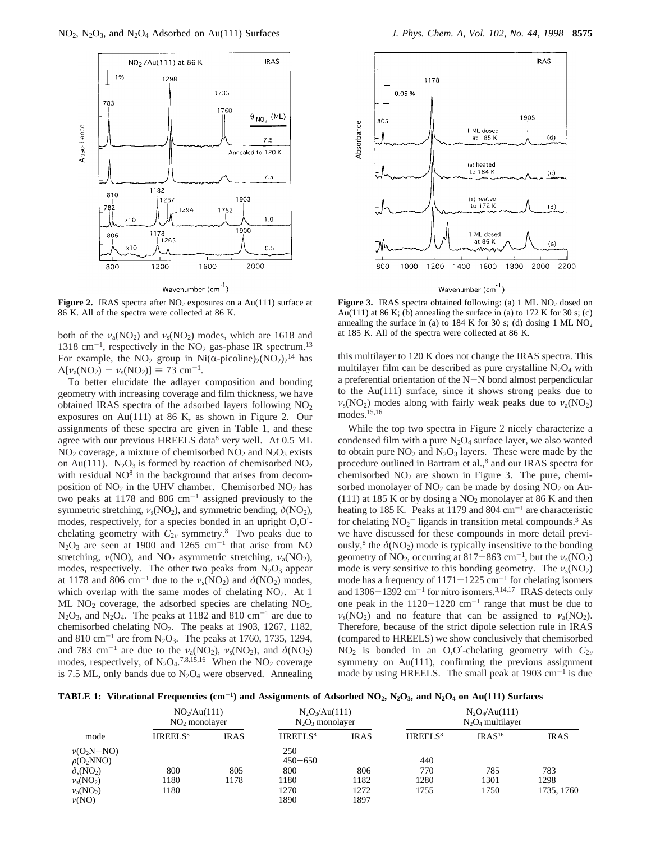

Wavenumber (cm<sup>-1</sup>)

**Figure 2.** IRAS spectra after  $NO<sub>2</sub>$  exposures on a Au(111) surface at 86 K. All of the spectra were collected at 86 K.

both of the  $v_a(\text{NO}_2)$  and  $v_s(\text{NO}_2)$  modes, which are 1618 and 1318 cm<sup>-1</sup>, respectively in the  $NO<sub>2</sub>$  gas-phase IR spectrum.<sup>13</sup> For example, the NO<sub>2</sub> group in Ni( $\alpha$ -picoline)<sub>2</sub>(NO<sub>2</sub>)<sub>2</sub><sup>14</sup> has<br>  $\Delta[\nu_{\alpha}(NO_2) - \nu_{\alpha}(NO_2)] = 73$  cm<sup>-1</sup>  $\Delta[\nu_a(NO_2) - \nu_s(NO_2)] = 73$  cm<sup>-1</sup>.

To better elucidate the adlayer composition and bonding geometry with increasing coverage and film thickness, we have obtained IRAS spectra of the adsorbed layers following NO<sub>2</sub> exposures on Au(111) at 86 K, as shown in Figure 2. Our assignments of these spectra are given in Table 1, and these agree with our previous HREELS data<sup>8</sup> very well. At 0.5 ML  $NO<sub>2</sub> coverage, a mixture of chemisorbed  $NO<sub>2</sub>$  and  $N<sub>2</sub>O<sub>3</sub>$  exists$ on Au(111).  $N_2O_3$  is formed by reaction of chemisorbed  $NO_2$ with residual NO<sup>8</sup> in the background that arises from decomposition of  $NO<sub>2</sub>$  in the UHV chamber. Chemisorbed  $NO<sub>2</sub>$  has two peaks at 1178 and 806  $cm^{-1}$  assigned previously to the symmetric stretching,  $v_s(NO_2)$ , and symmetric bending,  $\delta NO_2$ ), modes, respectively, for a species bonded in an upright O,O′ chelating geometry with  $C_{2v}$  symmetry.<sup>8</sup> Two peaks due to  $N_2O_3$  are seen at 1900 and 1265 cm<sup>-1</sup> that arise from NO stretching,  $\nu(NO)$ , and  $NO_2$  asymmetric stretching,  $\nu_a(NO_2)$ , modes, respectively. The other two peaks from  $N_2O_3$  appear at 1178 and 806 cm<sup>-1</sup> due to the  $\nu_s(\text{NO}_2)$  and  $\delta(\text{NO}_2)$  modes, which overlap with the same modes of chelating  $NO<sub>2</sub>$ . At 1 ML  $NO<sub>2</sub>$  coverage, the adsorbed species are chelating  $NO<sub>2</sub>$ ,  $N_2O_3$ , and  $N_2O_4$ . The peaks at 1182 and 810 cm<sup>-1</sup> are due to chemisorbed chelating NO2. The peaks at 1903, 1267, 1182, and 810 cm<sup>-1</sup> are from N<sub>2</sub>O<sub>3</sub>. The peaks at 1760, 1735, 1294, and 783 cm<sup>-1</sup> are due to the  $\nu_a(\text{NO}_2)$ ,  $\nu_s(\text{NO}_2)$ , and  $\delta(\text{NO}_2)$ modes, respectively, of  $N_2O<sub>4</sub>$ .<sup>7,8,15,16</sup> When the  $NO<sub>2</sub>$  coverage is 7.5 ML, only bands due to  $N_2O_4$  were observed. Annealing



**Figure 3.** IRAS spectra obtained following: (a) 1 ML NO<sub>2</sub> dosed on Au(111) at 86 K; (b) annealing the surface in (a) to 172 K for 30 s; (c) annealing the surface in (a) to  $184$  K for 30 s; (d) dosing 1 ML NO<sub>2</sub> at 185 K. All of the spectra were collected at 86 K.

this multilayer to 120 K does not change the IRAS spectra. This multilayer film can be described as pure crystalline  $N_2O_4$  with a preferential orientation of the N-N bond almost perpendicular to the Au(111) surface, since it shows strong peaks due to  $v_s(NO_2)$  modes along with fairly weak peaks due to  $v_a(NO_2)$ modes.15,16

While the top two spectra in Figure 2 nicely characterize a condensed film with a pure  $N_2O_4$  surface layer, we also wanted to obtain pure  $NO<sub>2</sub>$  and  $N<sub>2</sub>O<sub>3</sub>$  layers. These were made by the procedure outlined in Bartram et al.,8 and our IRAS spectra for chemisorbed  $NO<sub>2</sub>$  are shown in Figure 3. The pure, chemisorbed monolayer of  $NO<sub>2</sub>$  can be made by dosing  $NO<sub>2</sub>$  on Au-(111) at 185 K or by dosing a  $NO<sub>2</sub>$  monolayer at 86 K and then heating to 185 K. Peaks at 1179 and 804  $\text{cm}^{-1}$  are characteristic for chelating  $NO_2^-$  ligands in transition metal compounds.<sup>3</sup> As we have discussed for these compounds in more detail previously,<sup>8</sup> the  $\delta$ (NO<sub>2</sub>) mode is typically insensitive to the bonding geometry of NO<sub>2</sub>, occurring at 817-863 cm<sup>-1</sup>, but the  $v_s(NO_2)$ mode is very sensitive to this bonding geometry. The  $v_s(NO_2)$ mode has a frequency of  $1171-1225$  cm<sup>-1</sup> for chelating isomers and  $1306-1392$  cm<sup>-1</sup> for nitro isomers.<sup>3,14,17</sup> IRAS detects only one peak in the  $1120-1220$  cm<sup>-1</sup> range that must be due to  $v_s(NO_2)$  and no feature that can be assigned to  $v_a(NO_2)$ . Therefore, because of the strict dipole selection rule in IRAS (compared to HREELS) we show conclusively that chemisorbed NO<sub>2</sub> is bonded in an O,O'-chelating geometry with  $C_{2v}$ symmetry on Au(111), confirming the previous assignment made by using HREELS. The small peak at  $1903 \text{ cm}^{-1}$  is due

**TABLE 1: Vibrational Frequencies (cm**-**1) and Assignments of Adsorbed NO2, N2O3, and N2O4 on Au(111) Surfaces**

|                              | NO <sub>2</sub> /Au(111)<br>$NO2$ monolayer |             | $N_2O_3/Au(111)$<br>$N_2O_3$ monolayer |             | $N_2O_4/Au(111)$<br>$N_2O_4$ multilayer |                    |             |
|------------------------------|---------------------------------------------|-------------|----------------------------------------|-------------|-----------------------------------------|--------------------|-------------|
| mode                         | HREELS <sup>8</sup>                         | <b>IRAS</b> | HREELS <sup>8</sup>                    | <b>IRAS</b> | HREELS <sup>8</sup>                     | IRAS <sup>16</sup> | <b>IRAS</b> |
| $v(O_2N-NO)$                 |                                             |             | 250                                    |             |                                         |                    |             |
| $\rho(O_2NNO)$               |                                             |             | $450 - 650$                            |             | 440                                     |                    |             |
| $\delta_{\rm s}({\rm NO}_2)$ | 800                                         | 805         | 800                                    | 806         | 770                                     | 785                | 783         |
| $v_s(NO_2)$                  | 1180                                        | 1178        | 1180                                   | 1182        | 1280                                    | 1301               | 1298        |
| $v_a(\text{NO}_2)$           | 180                                         |             | 1270                                   | 1272        | 1755                                    | 1750               | 1735, 1760  |
| $\nu(NO)$                    |                                             |             | 1890                                   | 1897        |                                         |                    |             |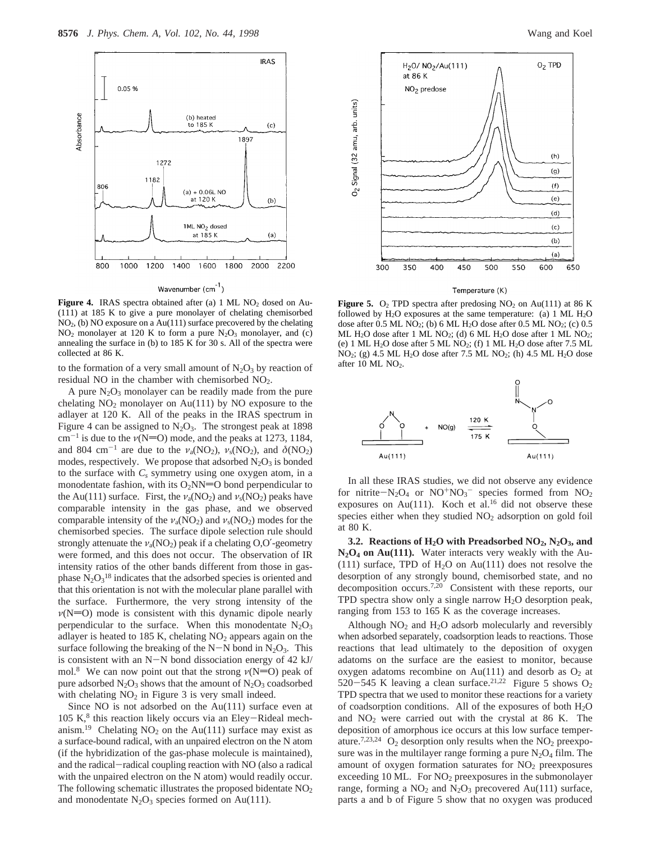

Wavenumber (cm<sup>-1</sup>)

Figure 4. IRAS spectra obtained after (a) 1 ML NO<sub>2</sub> dosed on Au-(111) at 185 K to give a pure monolayer of chelating chemisorbed NO2, (b) NO exposure on a Au(111) surface precovered by the chelating  $NO<sub>2</sub>$  monolayer at 120 K to form a pure  $N<sub>2</sub>O<sub>3</sub>$  monolayer, and (c) annealing the surface in (b) to 185 K for 30 s. All of the spectra were collected at 86 K.

to the formation of a very small amount of  $N_2O_3$  by reaction of residual NO in the chamber with chemisorbed NO2.

A pure  $N_2O_3$  monolayer can be readily made from the pure chelating  $NO<sub>2</sub>$  monolayer on Au(111) by NO exposure to the adlayer at 120 K. All of the peaks in the IRAS spectrum in Figure 4 can be assigned to  $N_2O_3$ . The strongest peak at 1898  $cm^{-1}$  is due to the  $\nu(N=O)$  mode, and the peaks at 1273, 1184, and 804 cm<sup>-1</sup> are due to the  $\nu_a(NO_2)$ ,  $\nu_s(NO_2)$ , and  $\delta(NO_2)$ modes, respectively. We propose that adsorbed  $N_2O_3$  is bonded to the surface with  $C_s$  symmetry using one oxygen atom, in a monodentate fashion, with its  $O_2NN=O$  bond perpendicular to the Au(111) surface. First, the  $v_a(NO_2)$  and  $v_s(NO_2)$  peaks have comparable intensity in the gas phase, and we observed comparable intensity of the  $v_a(NO_2)$  and  $v_s(NO_2)$  modes for the chemisorbed species. The surface dipole selection rule should strongly attenuate the  $v_a(\text{NO}_2)$  peak if a chelating O,O'-geometry were formed, and this does not occur. The observation of IR intensity ratios of the other bands different from those in gasphase  $N_2O_3^{18}$  indicates that the adsorbed species is oriented and that this orientation is not with the molecular plane parallel with the surface. Furthermore, the very strong intensity of the  $\nu(N=O)$  mode is consistent with this dynamic dipole nearly perpendicular to the surface. When this monodentate  $N_2O_3$ adlayer is heated to 185 K, chelating  $NO<sub>2</sub>$  appears again on the surface following the breaking of the N-N bond in  $N_2O_3$ . This is consistent with an N-N bond dissociation energy of 42 kJ/ mol.<sup>8</sup> We can now point out that the strong  $\nu(N=O)$  peak of pure adsorbed  $N_2O_3$  shows that the amount of  $N_2O_3$  coadsorbed with chelating  $NO<sub>2</sub>$  in Figure 3 is very small indeed.

Since NO is not adsorbed on the Au(111) surface even at  $105 K$ <sup>8</sup> this reaction likely occurs via an Eley-Rideal mechanism.<sup>19</sup> Chelating NO<sub>2</sub> on the Au(111) surface may exist as a surface-bound radical, with an unpaired electron on the N atom (if the hybridization of the gas-phase molecule is maintained), and the radical-radical coupling reaction with NO (also a radical with the unpaired electron on the N atom) would readily occur. The following schematic illustrates the proposed bidentate  $NO<sub>2</sub>$ and monodentate  $N_2O_3$  species formed on Au(111).



Temperature (K)

**Figure 5.**  $O_2$  TPD spectra after predosing NO<sub>2</sub> on Au(111) at 86 K followed by  $H_2O$  exposures at the same temperature: (a) 1 ML  $H_2O$ dose after  $0.5$  ML NO<sub>2</sub>; (b) 6 ML H<sub>2</sub>O dose after  $0.5$  ML NO<sub>2</sub>; (c)  $0.5$ ML H2O dose after 1 ML NO2; (d) 6 ML H2O dose after 1 ML NO2; (e) 1 ML  $H_2O$  dose after 5 ML NO<sub>2</sub>; (f) 1 ML  $H_2O$  dose after 7.5 ML NO2; (g) 4.5 ML H2O dose after 7.5 ML NO2; (h) 4.5 ML H2O dose after 10 ML NO<sub>2</sub>.



In all these IRAS studies, we did not observe any evidence for nitrite- $N_2O_4$  or  $NO^+NO_3^-$  species formed from  $NO_2$ <br>exposures on  $Au(111)$ . Koch et al.<sup>16</sup> did not observe these exposures on Au(111). Koch et al.<sup>16</sup> did not observe these species either when they studied  $NO<sub>2</sub>$  adsorption on gold foil at 80 K.

**3.2. Reactions of H2O with Preadsorbed NO2, N2O3, and N2O4 on Au(111).** Water interacts very weakly with the Au- (111) surface, TPD of  $H<sub>2</sub>O$  on Au(111) does not resolve the desorption of any strongly bound, chemisorbed state, and no decomposition occurs.<sup>7,20</sup> Consistent with these reports, our TPD spectra show only a single narrow  $H_2O$  desorption peak, ranging from 153 to 165 K as the coverage increases.

Although  $NO<sub>2</sub>$  and  $H<sub>2</sub>O$  adsorb molecularly and reversibly when adsorbed separately, coadsorption leads to reactions. Those reactions that lead ultimately to the deposition of oxygen adatoms on the surface are the easiest to monitor, because oxygen adatoms recombine on  $Au(111)$  and desorb as  $O_2$  at 520-545 K leaving a clean surface.<sup>21,22</sup> Figure 5 shows  $O_2$ TPD spectra that we used to monitor these reactions for a variety of coadsorption conditions. All of the exposures of both  $H_2O$ and  $NO<sub>2</sub>$  were carried out with the crystal at 86 K. The deposition of amorphous ice occurs at this low surface temperature.<sup>7,23,24</sup> O<sub>2</sub> desorption only results when the  $NO<sub>2</sub>$  preexposure was in the multilayer range forming a pure  $N_2O_4$  film. The amount of oxygen formation saturates for  $NO<sub>2</sub>$  preexposures exceeding 10 ML. For  $NO<sub>2</sub>$  preexposures in the submonolayer range, forming a  $NO<sub>2</sub>$  and  $N<sub>2</sub>O<sub>3</sub>$  precovered Au(111) surface, parts a and b of Figure 5 show that no oxygen was produced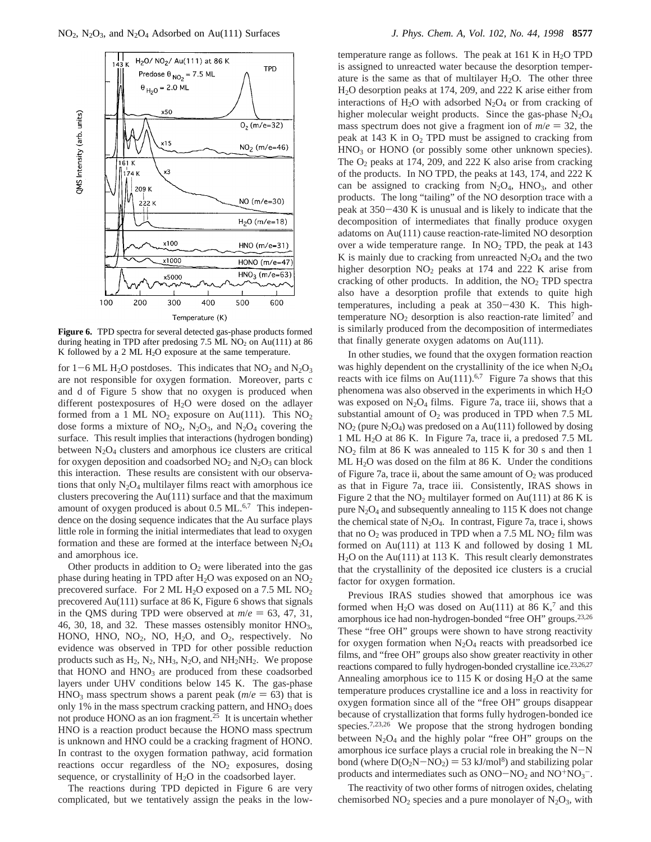

**Figure 6.** TPD spectra for several detected gas-phase products formed during heating in TPD after predosing 7.5 ML  $NO<sub>2</sub>$  on Au(111) at 86 K followed by a 2 ML H<sub>2</sub>O exposure at the same temperature.

for  $1-6$  ML H<sub>2</sub>O postdoses. This indicates that  $NO<sub>2</sub>$  and  $N<sub>2</sub>O<sub>3</sub>$ are not responsible for oxygen formation. Moreover, parts c and d of Figure 5 show that no oxygen is produced when different postexposures of  $H<sub>2</sub>O$  were dosed on the adlayer formed from a 1 ML NO<sub>2</sub> exposure on Au(111). This  $NO<sub>2</sub>$ dose forms a mixture of  $NO_2$ ,  $N_2O_3$ , and  $N_2O_4$  covering the surface. This result implies that interactions (hydrogen bonding) between  $N_2O_4$  clusters and amorphous ice clusters are critical for oxygen deposition and coadsorbed  $NO<sub>2</sub>$  and  $N<sub>2</sub>O<sub>3</sub>$  can block this interaction. These results are consistent with our observations that only  $N_2O_4$  multilayer films react with amorphous ice clusters precovering the Au(111) surface and that the maximum amount of oxygen produced is about 0.5 ML.<sup>6,7</sup> This independence on the dosing sequence indicates that the Au surface plays little role in forming the initial intermediates that lead to oxygen formation and these are formed at the interface between  $N_2O_4$ and amorphous ice.

Other products in addition to  $O_2$  were liberated into the gas phase during heating in TPD after  $H_2O$  was exposed on an  $NO_2$ precovered surface. For 2 ML H<sub>2</sub>O exposed on a 7.5 ML NO<sub>2</sub> precovered Au(111) surface at 86 K, Figure 6 shows that signals in the QMS during TPD were observed at  $m/e = 63, 47, 31$ , 46, 30, 18, and 32. These masses ostensibly monitor  $HNO<sub>3</sub>$ , HONO, HNO,  $NO<sub>2</sub>$ , NO,  $H<sub>2</sub>O$ , and  $O<sub>2</sub>$ , respectively. No evidence was observed in TPD for other possible reduction products such as  $H_2$ ,  $N_2$ ,  $NH_3$ ,  $N_2O$ , and  $NH_2NH_2$ . We propose that HONO and HNO<sub>3</sub> are produced from these coadsorbed layers under UHV conditions below 145 K. The gas-phase  $HNO<sub>3</sub>$  mass spectrum shows a parent peak ( $m/e = 63$ ) that is only  $1\%$  in the mass spectrum cracking pattern, and  $HNO<sub>3</sub>$  does not produce HONO as an ion fragment.25 It is uncertain whether HNO is a reaction product because the HONO mass spectrum is unknown and HNO could be a cracking fragment of HONO. In contrast to the oxygen formation pathway, acid formation reactions occur regardless of the  $NO<sub>2</sub>$  exposures, dosing sequence, or crystallinity of  $H_2O$  in the coadsorbed layer.

The reactions during TPD depicted in Figure 6 are very complicated, but we tentatively assign the peaks in the low-

temperature range as follows. The peak at  $161$  K in  $H<sub>2</sub>O$  TPD is assigned to unreacted water because the desorption temperature is the same as that of multilayer  $H_2O$ . The other three H2O desorption peaks at 174, 209, and 222 K arise either from interactions of  $H_2O$  with adsorbed  $N_2O_4$  or from cracking of higher molecular weight products. Since the gas-phase  $N_2O_4$ mass spectrum does not give a fragment ion of  $m/e = 32$ , the peak at 143 K in  $O_2$  TPD must be assigned to cracking from  $HNO<sub>3</sub>$  or HONO (or possibly some other unknown species). The  $O_2$  peaks at 174, 209, and 222 K also arise from cracking of the products. In NO TPD, the peaks at 143, 174, and 222 K can be assigned to cracking from  $N_2O_4$ , HNO<sub>3</sub>, and other products. The long "tailing" of the NO desorption trace with a peak at 350-430 K is unusual and is likely to indicate that the decomposition of intermediates that finally produce oxygen adatoms on Au(111) cause reaction-rate-limited NO desorption over a wide temperature range. In  $NO<sub>2</sub>$  TPD, the peak at 143 K is mainly due to cracking from unreacted  $N_2O_4$  and the two higher desorption  $NO<sub>2</sub>$  peaks at 174 and 222 K arise from cracking of other products. In addition, the  $NO<sub>2</sub> TPD$  spectra also have a desorption profile that extends to quite high temperatures, including a peak at 350-430 K. This hightemperature  $NO<sub>2</sub>$  desorption is also reaction-rate limited<sup>7</sup> and is similarly produced from the decomposition of intermediates that finally generate oxygen adatoms on Au(111).

In other studies, we found that the oxygen formation reaction was highly dependent on the crystallinity of the ice when  $N_2O_4$ reacts with ice films on Au(111).<sup>6,7</sup> Figure 7a shows that this phenomena was also observed in the experiments in which H<sub>2</sub>O was exposed on  $N_2O_4$  films. Figure 7a, trace iii, shows that a substantial amount of  $O_2$  was produced in TPD when 7.5 ML  $NO<sub>2</sub>$  (pure  $N<sub>2</sub>O<sub>4</sub>$ ) was predosed on a Au(111) followed by dosing 1 ML H2O at 86 K. In Figure 7a, trace ii, a predosed 7.5 ML NO2 film at 86 K was annealed to 115 K for 30 s and then 1 ML H2O was dosed on the film at 86 K. Under the conditions of Figure 7a, trace ii, about the same amount of  $O_2$  was produced as that in Figure 7a, trace iii. Consistently, IRAS shows in Figure 2 that the  $NO<sub>2</sub>$  multilayer formed on Au(111) at 86 K is pure  $N_2O_4$  and subsequently annealing to 115 K does not change the chemical state of  $N_2O_4$ . In contrast, Figure 7a, trace i, shows that no  $O_2$  was produced in TPD when a 7.5 ML NO<sub>2</sub> film was formed on Au(111) at 113 K and followed by dosing 1 ML  $H<sub>2</sub>O$  on the Au(111) at 113 K. This result clearly demonstrates that the crystallinity of the deposited ice clusters is a crucial factor for oxygen formation.

Previous IRAS studies showed that amorphous ice was formed when H<sub>2</sub>O was dosed on Au(111) at 86 K,<sup>7</sup> and this amorphous ice had non-hydrogen-bonded "free OH" groups.<sup>23,26</sup> These "free OH" groups were shown to have strong reactivity for oxygen formation when  $N_2O_4$  reacts with preadsorbed ice films, and "free OH" groups also show greater reactivity in other reactions compared to fully hydrogen-bonded crystalline ice.<sup>23,26,27</sup> Annealing amorphous ice to 115 K or dosing  $H_2O$  at the same temperature produces crystalline ice and a loss in reactivity for oxygen formation since all of the "free OH" groups disappear because of crystallization that forms fully hydrogen-bonded ice species.<sup>7,23,26</sup> We propose that the strong hydrogen bonding between  $N_2O_4$  and the highly polar "free OH" groups on the amorphous ice surface plays a crucial role in breaking the N-<sup>N</sup> bond (where  $D(O_2N-NO_2) = 53 \text{ kJ/mol}^8$ ) and stabilizing polar products and intermediates such as  $ONO-NO<sub>2</sub>$  and  $NO<sup>+</sup>NO<sub>3</sub><sup>-</sup>$ .<br>The association of two other forms of alternative abilities

The reactivity of two other forms of nitrogen oxides, chelating chemisorbed  $NO<sub>2</sub>$  species and a pure monolayer of  $N<sub>2</sub>O<sub>3</sub>$ , with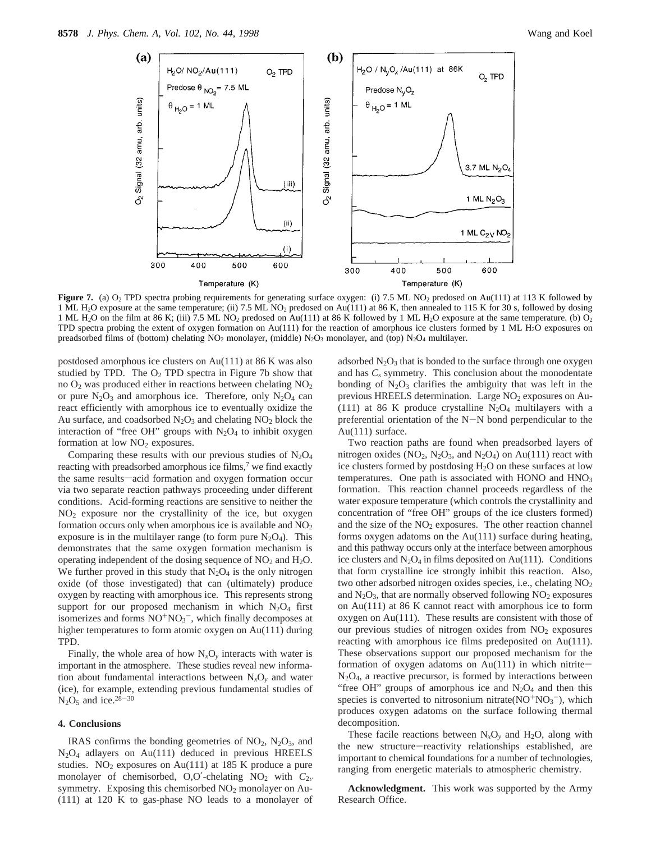

**Figure 7.** (a) O<sub>2</sub> TPD spectra probing requirements for generating surface oxygen: (i) 7.5 ML NO<sub>2</sub> predosed on Au(111) at 113 K followed by 1 ML H2O exposure at the same temperature; (ii) 7.5 ML NO2 predosed on Au(111) at 86 K, then annealed to 115 K for 30 s, followed by dosing 1 ML H<sub>2</sub>O on the film at 86 K; (iii) 7.5 ML NO<sub>2</sub> predosed on Au(111) at 86 K followed by 1 ML H<sub>2</sub>O exposure at the same temperature. (b) O<sub>2</sub> TPD spectra probing the extent of oxygen formation on Au(111) for the reaction of amorphous ice clusters formed by 1 ML H<sub>2</sub>O exposures on preadsorbed films of (bottom) chelating NO<sub>2</sub> monolayer, (middle) N<sub>2</sub>O<sub>3</sub> monolayer, and (top) N<sub>2</sub>O<sub>4</sub> multilayer.

postdosed amorphous ice clusters on Au(111) at 86 K was also studied by TPD. The  $O_2$  TPD spectra in Figure 7b show that no  $O_2$  was produced either in reactions between chelating  $NO_2$ or pure  $N_2O_3$  and amorphous ice. Therefore, only  $N_2O_4$  can react efficiently with amorphous ice to eventually oxidize the Au surface, and coadsorbed  $N_2O_3$  and chelating  $NO_2$  block the interaction of "free OH" groups with  $N_2O_4$  to inhibit oxygen formation at low  $NO<sub>2</sub>$  exposures.

Comparing these results with our previous studies of  $N_2O_4$ reacting with preadsorbed amorphous ice films,<sup>7</sup> we find exactly the same results-acid formation and oxygen formation occur via two separate reaction pathways proceeding under different conditions. Acid-forming reactions are sensitive to neither the  $NO<sub>2</sub>$  exposure nor the crystallinity of the ice, but oxygen formation occurs only when amorphous ice is available and  $NO<sub>2</sub>$ exposure is in the multilayer range (to form pure  $N_2O_4$ ). This demonstrates that the same oxygen formation mechanism is operating independent of the dosing sequence of  $NO<sub>2</sub>$  and  $H<sub>2</sub>O$ . We further proved in this study that  $N_2O_4$  is the only nitrogen oxide (of those investigated) that can (ultimately) produce oxygen by reacting with amorphous ice. This represents strong support for our proposed mechanism in which  $N_2O_4$  first isomerizes and forms  $NO^{+}NO_3^-$ , which finally decomposes at higher temperatures to form atomic oxygen on Au(111) during TPD.

Finally, the whole area of how  $N_xO_y$  interacts with water is important in the atmosphere. These studies reveal new information about fundamental interactions between  $N_xO_y$  and water (ice), for example, extending previous fundamental studies of  $N_2O_5$  and ice.<sup>28-30</sup>

### **4. Conclusions**

IRAS confirms the bonding geometries of  $NO<sub>2</sub>$ ,  $N<sub>2</sub>O<sub>3</sub>$ , and N2O4 adlayers on Au(111) deduced in previous HREELS studies. NO<sub>2</sub> exposures on Au(111) at 185 K produce a pure monolayer of chemisorbed, O,O'-chelating  $NO<sub>2</sub>$  with  $C<sub>2v</sub>$ symmetry. Exposing this chemisorbed  $NO<sub>2</sub>$  monolayer on Au-(111) at 120 K to gas-phase NO leads to a monolayer of

adsorbed  $N_2O_3$  that is bonded to the surface through one oxygen and has  $C_s$  symmetry. This conclusion about the monodentate bonding of  $N_2O_3$  clarifies the ambiguity that was left in the previous HREELS determination. Large NO<sub>2</sub> exposures on Au-(111) at 86 K produce crystalline  $N_2O_4$  multilayers with a preferential orientation of the N-N bond perpendicular to the Au(111) surface.

Two reaction paths are found when preadsorbed layers of nitrogen oxides ( $NO_2$ ,  $N_2O_3$ , and  $N_2O_4$ ) on Au(111) react with ice clusters formed by postdosing H2O on these surfaces at low temperatures. One path is associated with HONO and HNO<sub>3</sub> formation. This reaction channel proceeds regardless of the water exposure temperature (which controls the crystallinity and concentration of "free OH" groups of the ice clusters formed) and the size of the  $NO<sub>2</sub>$  exposures. The other reaction channel forms oxygen adatoms on the Au(111) surface during heating, and this pathway occurs only at the interface between amorphous ice clusters and  $N_2O_4$  in films deposited on Au(111). Conditions that form crystalline ice strongly inhibit this reaction. Also, two other adsorbed nitrogen oxides species, i.e., chelating  $NO<sub>2</sub>$ and  $N_2O_3$ , that are normally observed following  $NO_2$  exposures on Au(111) at 86 K cannot react with amorphous ice to form oxygen on Au(111). These results are consistent with those of our previous studies of nitrogen oxides from  $NO<sub>2</sub>$  exposures reacting with amorphous ice films predeposited on Au(111). These observations support our proposed mechanism for the formation of oxygen adatoms on  $Au(111)$  in which nitrite- $N_2O_4$ , a reactive precursor, is formed by interactions between "free OH" groups of amorphous ice and  $N_2O_4$  and then this species is converted to nitrosonium nitrate $(NO^{+}NO_{3}^{-})$ , which produces oxygen adatoms on the surface following thermal decomposition.

These facile reactions between  $N_xO_y$  and  $H_2O$ , along with the new structure-reactivity relationships established, are important to chemical foundations for a number of technologies, ranging from energetic materials to atmospheric chemistry.

**Acknowledgment.** This work was supported by the Army Research Office.